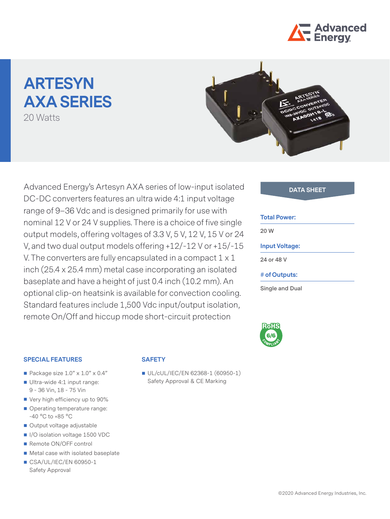

# **ARTESYN AXA SERIES**

20 Watts



Advanced Energy's Artesyn AXA series of low-input isolated **DATA SHEET** DC-DC converters features an ultra wide 4:1 input voltage range of 9–36 Vdc and is designed primarily for use with nominal 12 V or 24 V supplies. There is a choice of five single output models, offering voltages of 3.3 V, 5 V, 12 V, 15 V or 24 V, and two dual output models offering +12/-12 V or +15/-15 V. The converters are fully encapsulated in a compact 1 x 1 inch (25.4 x 25.4 mm) metal case incorporating an isolated baseplate and have a height of just 0.4 inch (10.2 mm). An optional clip-on heatsink is available for convection cooling. Standard features include 1,500 Vdc input/output isolation, remote On/Off and hiccup mode short-circuit protection

#### **Total Power:**

**20 W**

# **Input Voltage:**

**24 or 48 V**

**# of Outputs:**

**Single and Dual**



## **SPECIAL FEATURES**

- Package size  $1.0" \times 1.0" \times 0.4"$
- Ultra-wide 4:1 input range: 9 - 36 Vin, 18 - 75 Vin
- Very high efficiency up to 90%
- Operating temperature range: -40 °C to +85 °C
- Output voltage adjustable
- I/O isolation voltage 1500 VDC
- Remote ON/OFF control
- Metal case with isolated baseplate
- CSA/UL/IEC/EN 60950-1 Safety Approval

# **SAFETY**

UL/cUL/IEC/EN 62368-1 (60950-1) Safety Approval & CE Marking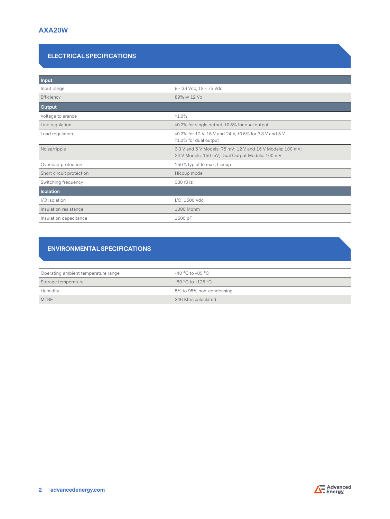# **ELECTRICAL SPECIFICATIONS**

| Input                    |                                                                                                               |  |  |  |
|--------------------------|---------------------------------------------------------------------------------------------------------------|--|--|--|
| Input range              | 9 - 36 Vdc, 18 - 75 Vdc                                                                                       |  |  |  |
| Efficiency               | 89% @ 12 Vo                                                                                                   |  |  |  |
| Output                   |                                                                                                               |  |  |  |
| Voltage tolerance        | ±1.0%                                                                                                         |  |  |  |
| Line regulation          | ±0.2% for single output, ±0.5% for dual output                                                                |  |  |  |
| Load regulation          | ±0.2% for 12 V, 15 V and 24 V, ±0.5% for 3.3 V and 5 V.<br>±1.0% for dual output                              |  |  |  |
| Noise/ripple             | 3.3 V and 5 V Models: 75 mV; 12 V and 15 V Models: 100 mV;<br>24 V Models: 150 mV; Dual Output Models: 100 mV |  |  |  |
| Overload protection      | 150% typ of Io max, hiccup                                                                                    |  |  |  |
| Short circuit protection | Hiccup mode                                                                                                   |  |  |  |
| Switching frequency      | 330 KHz                                                                                                       |  |  |  |
| <b>Isolation</b>         |                                                                                                               |  |  |  |
| I/O isolation            | I/O: 1500 Vdc                                                                                                 |  |  |  |
| Insulation resistance    | 1000 Mohm                                                                                                     |  |  |  |
| Insulation capacitance   | 1500 pF                                                                                                       |  |  |  |

# **ENVIRONMENTAL SPECIFICATIONS**

| Operating ambient temperature range | -40 °C to +85 °C         |
|-------------------------------------|--------------------------|
| Storage temperature                 | $-50 °C$ to $+125 °C$    |
| Humidity                            | 5% to 95% non-condensing |
| <b>MTBF</b>                         | 346 Khrs calculated      |

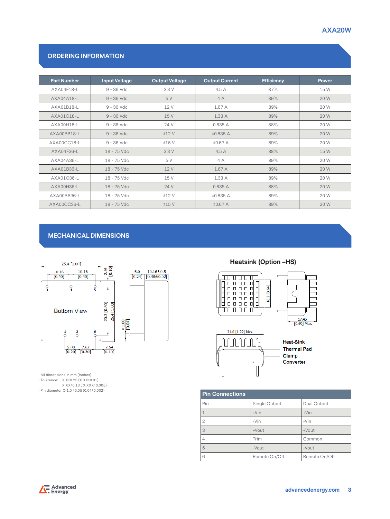# **AXA20W**

# **ORDERING INFORMATION**

| <b>Part Number</b> | <b>Input Voltage</b> | <b>Output Voltage</b> | <b>Output Current</b> | <b>Efficiency</b> | Power |
|--------------------|----------------------|-----------------------|-----------------------|-------------------|-------|
| AXA04F18-L         | $9 - 36$ Vdc         | 3.3 V                 | 4.5 A                 | 87%               | 15 W  |
| AXA04A18-L         | $9 - 36$ Vdc         | 5 V                   | 4A                    | 89%               | 20 W  |
| AXA01B18-L         | $9 - 36$ Vdc         | 12 V                  | 1.67 A                | 89%               | 20 W  |
| AXA01C18-L         | $9 - 36$ Vdc         | 15 V                  | 1.33 A                | 89%               | 20 W  |
| AXA00H18-L         | $9 - 36$ Vdc         | 24 V                  | 0.835 A               | 88%               | 20 W  |
| AXA00BB18-L        | $9 - 36$ Vdc         | ±12V                  | ±0.835 A              | 89%               | 20 W  |
| AXA00CC18-L        | $9 - 36$ Vdc         | ±15V                  | ±0.67 A               | 89%               | 20 W  |
| AXA04F36-L         | 18 - 75 Vdc          | 3.3 V                 | 4.5A                  | 88%               | 15 W  |
| AXA04A36-L         | 18 - 75 Vdc          | 5 V                   | 4A                    | 89%               | 20 W  |
| AXA01B36-L         | 18 - 75 Vdc          | 12 V                  | 1.67 A                | 89%               | 20 W  |
| AXA01C36-L         | 18 - 75 Vdc          | 15 V                  | 1.33 A                | 89%               | 20 W  |
| AXA00H36-L         | 18 - 75 Vdc          | 24 V                  | 0.835 A               | 88%               | 20 W  |
| AXA00BB36-L        | 18 - 75 Vdc          | ±12V                  | ±0.835 A              | 89%               | 20 W  |
| AXA00CC36-L        | 18 - 75 Vdc          | ±15V                  | ±0.67 A               | 89%               | 20 W  |

# **MECHANICAL DIMENSIONS**



• All dimensions in mm (inches)

• Tolerance: X.X±0.25 (X.XX±0.01)

X.XX±0.13 ( X.XXX±0.005) • Pin diameter Ø 1.0 ±0.05 (0.04±0.002)

# Heatsink (Option –HS)





| <b>Pin Connections</b> |               |               |  |  |  |  |
|------------------------|---------------|---------------|--|--|--|--|
| Pin                    | Single Output | Dual Output   |  |  |  |  |
|                        | $+V$ in       | $+V$ in       |  |  |  |  |
| $\overline{2}$         | $-Vin$        | $-Vin$        |  |  |  |  |
| 3                      | +Vout         | $+$ Vout      |  |  |  |  |
| 4                      | Trim          | Common        |  |  |  |  |
| 5                      | $-V$ out      | -Vout         |  |  |  |  |
| 6                      | Remote On/Off | Remote On/Off |  |  |  |  |